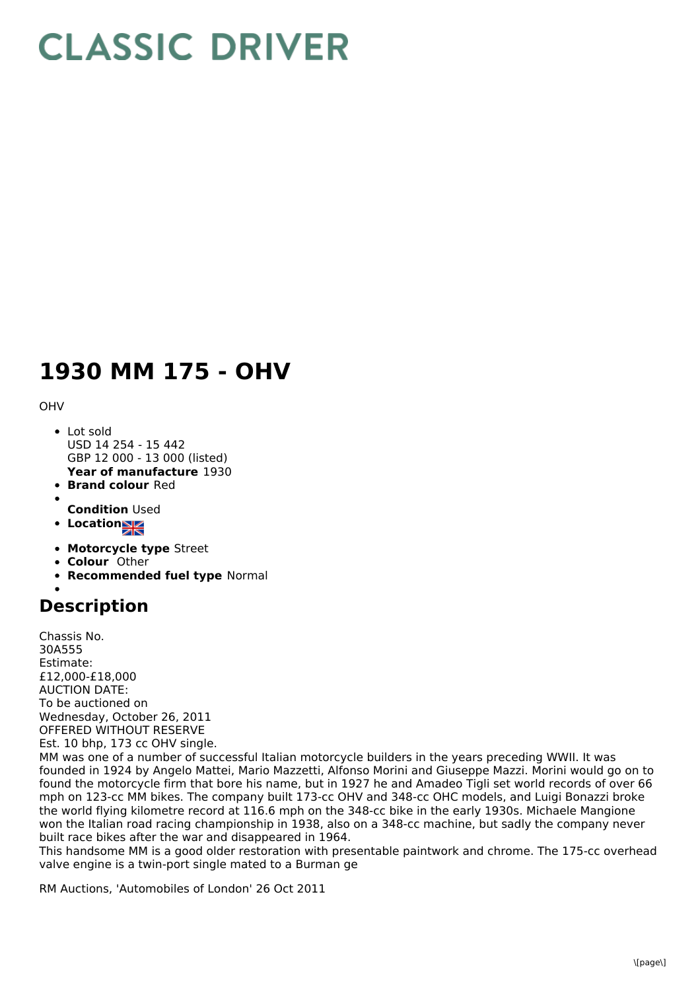## **CLASSIC DRIVER**

## **1930 MM 175 - OHV**

OHV

- **Year of manufacture** 1930 Lot sold USD 14 254 - 15 442 GBP 12 000 - 13 000 (listed)
- **Brand colour** Red
- 
- **Condition** Used
- Location
- **Motorcycle type** Street
- **Colour** Other
- **Recommended fuel type** Normal

## **Description**

Chassis No. 30A555 Estimate: £12,000-£18,000 AUCTION DATE: To be auctioned on Wednesday, October 26, 2011 OFFERED WITHOUT RESERVE Est. 10 bhp, 173 cc OHV single.

MM was one of a number of successful Italian motorcycle builders in the years preceding WWII. It was founded in 1924 by Angelo Mattei, Mario Mazzetti, Alfonso Morini and Giuseppe Mazzi. Morini would go on to found the motorcycle firm that bore his name, but in 1927 he and Amadeo Tigli set world records of over 66 mph on 123-cc MM bikes. The company built 173-cc OHV and 348-cc OHC models, and Luigi Bonazzi broke the world flying kilometre record at 116.6 mph on the 348-cc bike in the early 1930s. Michaele Mangione won the Italian road racing championship in 1938, also on a 348-cc machine, but sadly the company never built race bikes after the war and disappeared in 1964.

This handsome MM is a good older restoration with presentable paintwork and chrome. The 175-cc overhead valve engine is a twin-port single mated to a Burman ge

RM Auctions, 'Automobiles of London' 26 Oct 2011